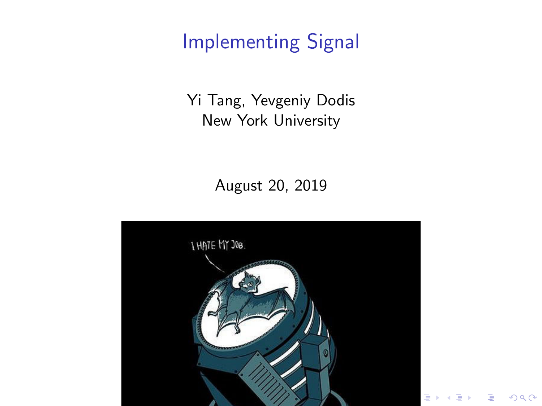# Implementing Signal

Yi Tang, Yevgeniy Dodis New York University

August 20, 2019



 $2Q$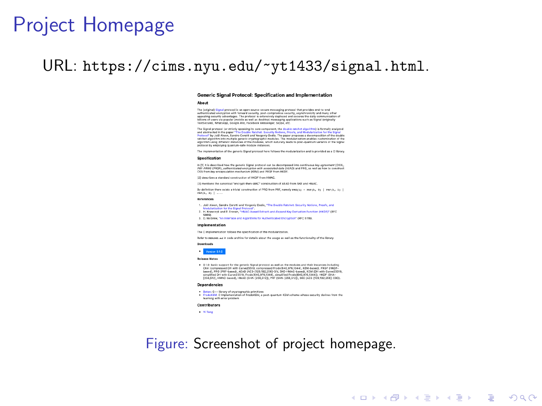## Project Homepage

### URL: <https://cims.nyu.edu/~yt1433/signal.html>.

#### Generic Signal Protocol: Specification and Implementation

About

The (original) Signal protocol is an open source secure messaging protocol that provides end-to-end. The (original) Signal protocol is an open source secure messaging protocol that provides end-to-end<br>authenticated encryption with forward security, pest-compromise security, asynchronicly and many other<br>appealing require r appeating security advantages. The protocol is extensively deployed and secures the daily communication<br>billions of users via popular (mobile as well as destrop) messaging applications such as Signal (infiginally<br>TeatSecur

The Signal protocol (or strictly speaking its core component, the double ratchet algorithm) is formally analyzed and admiracted in the paper "The Double Ratchet: Security Notices, Proofs, and Modulations for the Signal<br>Probact by Joël Alvers, Sandro Coretil and Yougany Dodis, The paper proposes a docomposition for the Signal<br>Antibat algorithm using different instances of the medules, which naturally leads to post-quantum variants of the Signal algorithm using different instances of the modules, which<br>protocol by employing quantum-safe module instances.

The implementation of the generic Signal protocol here follows the modularization and is provided as a C library.

#### **Property Links**

in [1] it is described haw the generic Signal protocol can be decomposed into continuous key agreement (CKA)<br>JPP - MNS IPEOF) authenticated corrunation with accorpaned data (AFAD) and PBC, as well as how to construct FRY-FRING PIRMIT, eMITERSTERED ENCYSTERN NEW ESSECUTED ONE UN-

TIT describes a standard construction of WITNE from WAFEF.

TV woulders the concerted forecast down 1887? construction of \$540 form PPF and MH4O

By definition there exists a trivial construction of PRO from PRF, namely easy's = = exercy, = n = 1 exercy, = n = 1 PERCEL 21 | ...

#### References

- 1. Joil Alves, Sandra Coretti and Yorgeniy Dodis, "The Double Ratchet: Security Nations, Proofs, and
- -1. Just discuss person that the signal President Creating Company is a control opportunity measures, moving and<br>- Marketing that the the Signal President Cased Extract-and-Extend Key Derivation Function (HRDF)\* (RFC)
- 3. D. McGrew, "An interface and Algorithms for Authenticated Encryption" (RFC 5116).
- 

#### Implementation

The C instementation follows the specification of the modularization.

Refer to assume ... in code archive for details about the usage as well as the functionality of the library

### Drwnloads

### Version 0.1.0

#### **Delegase Nates**

. 0.1.0: basic support for the generic Signal protocol as well as the modules and their instances including CKA (compressed DH with Curve25518, compressed Frodo)640,976,1344], KEM-based), PRSF (HKDF based), PRO (PRF-based), AEAD (AES-(138,192,3560-SIV, SKE-HMAC-based), KEM (DH with Curve25519<br>simplified DH with Curve25519, Frede)640,976,1366), simplified Frede(660,976,1364)), HKDF (SHA-[256,512], HMAC-based), HMAC (SHA-[256,512]), PRF (SHA-[256,512]), SKE (AES-[128,192,256]-CBC).

#### **Dependencies**

- Betan: C++ library of cryptographic primitives
- Botan: C++ library of cryptographic primitives<br>Produktiki: C lingiamentation of FradaKEM, a post-quantum KEM scheme whose security derives from the learning with error problem

### Contributors

. Villag

### Figure: Screenshot of project homepage.

**KORK EXTERNE PROVIDE**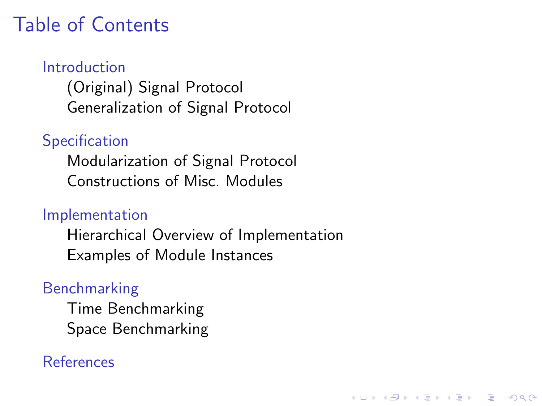# Table of Contents

### [Introduction](#page-3-0)

[\(Original\) Signal Protocol](#page-3-0) [Generalization of Signal Protocol](#page-4-0)

## **[Specification](#page-5-0)**

[Modularization of Signal Protocol](#page-5-0) [Constructions of Misc. Modules](#page-7-0)

### [Implementation](#page-8-0)

[Hierarchical Overview of Implementation](#page-8-0) [Examples of Module Instances](#page-9-0)

### [Benchmarking](#page-12-0)

[Time Benchmarking](#page-12-0) [Space Benchmarking](#page-13-0)

### [References](#page-14-0)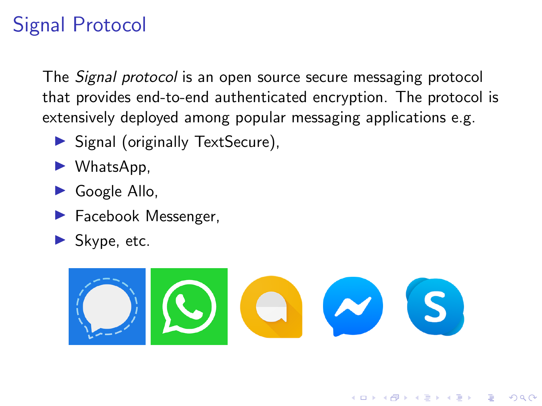# <span id="page-3-0"></span>Signal Protocol

The Signal protocol is an open source secure messaging protocol that provides end-to-end authenticated encryption. The protocol is extensively deployed among popular messaging applications e.g.

- ▶ Signal (originally TextSecure),
- $\blacktriangleright$  WhatsApp,
- $\triangleright$  Google Allo,
- $\blacktriangleright$  Facebook Messenger,
- $\blacktriangleright$  Skype, etc.



**KORK EXTERNE PROVIDE**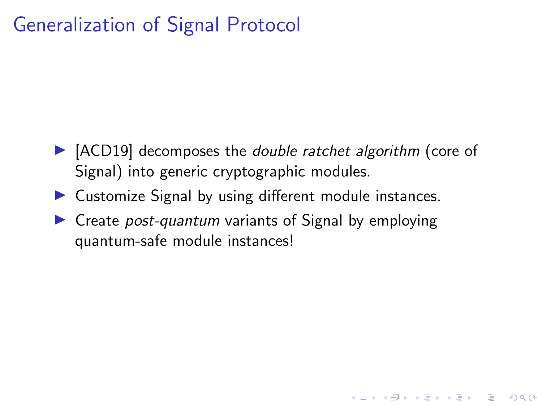## <span id="page-4-0"></span>Generalization of Signal Protocol

 $\triangleright$  [ACD19] decomposes the *double ratchet algorithm* (core of Signal) into generic cryptographic modules.

**KORK ERKER ADAM ADA** 

- $\triangleright$  Customize Signal by using different module instances.
- $\triangleright$  Create *post-quantum* variants of Signal by employing quantum-safe module instances!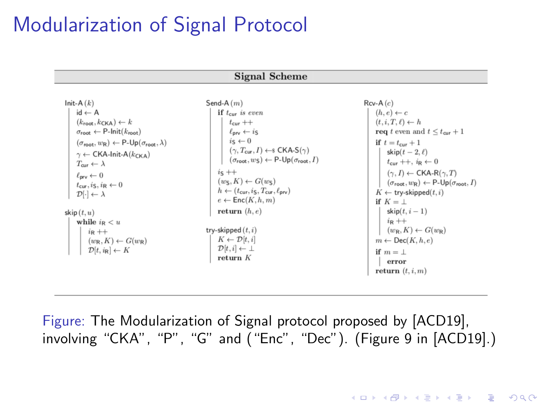## <span id="page-5-0"></span>Modularization of Signal Protocol

**Signal Scheme** 

| Init-A $(k)$                                                                                                                                                                                                                                                                                                                                                                                                                                    | Send-A $(m)$                                                                                                                                                                                                                                                                                                                                                                                                                                                              | $Rcv-A(c)$                                                                                                                                                                                                                                                                                                                                                                                                                       |
|-------------------------------------------------------------------------------------------------------------------------------------------------------------------------------------------------------------------------------------------------------------------------------------------------------------------------------------------------------------------------------------------------------------------------------------------------|---------------------------------------------------------------------------------------------------------------------------------------------------------------------------------------------------------------------------------------------------------------------------------------------------------------------------------------------------------------------------------------------------------------------------------------------------------------------------|----------------------------------------------------------------------------------------------------------------------------------------------------------------------------------------------------------------------------------------------------------------------------------------------------------------------------------------------------------------------------------------------------------------------------------|
| $id \leftarrow A$<br>$(k_{\text{root}}, k_{\text{CKA}}) \leftarrow k$<br>$\sigma_{\text{root}} \leftarrow \text{P-Init}(k_{\text{root}})$<br>$(\sigma_{\text{mot}}, w_{\text{R}}) \leftarrow \text{P-Up}(\sigma_{\text{root}}, \lambda)$<br>$\gamma \leftarrow$ CKA-Init-A( $k_{CKA}$ )<br>$T_{\text{cur}} \leftarrow \lambda$<br>$\ell_{\rm nrv} \leftarrow 0$<br>$t_{cur}$ , is, in $\leftarrow 0$<br>$\mathcal{D}[\cdot] \leftarrow \lambda$ | if $t_{cur}$ is even<br>$t_{\text{cur}} + +$<br>$\ell_{\rm{inv}} \leftarrow i_S$<br>$i\varsigma \leftarrow 0$<br>$(\gamma, T_{\text{cur}}, I) \leftarrow$ CKA-S $(\gamma)$<br>$(\sigma_{\text{root}}, w_{\text{S}}) \leftarrow \text{P-Up}(\sigma_{\text{root}}, I)$<br>$i\varsigma$ ++<br>$(w_{\mathsf{S}}, K) \leftarrow G(w_{\mathsf{S}})$<br>$h \leftarrow (t_{\text{cur}}, i_{\text{S}}, T_{\text{cur}}, \ell_{\text{prv}})$<br>$e \leftarrow \mathsf{Enc}(K, h, m)$ | $(h, e) \leftarrow c$<br>$(t, i, T, \ell) \leftarrow h$<br><b>req</b> t even and $t \leq t_{\text{cur}} + 1$<br>if $t = t_{\text{cur}} + 1$<br>skip $(t-2, \ell)$<br>$t_{\text{cur}} + +$ , $i_{\text{R}} \leftarrow 0$<br>$(\gamma, I) \leftarrow \mathsf{CKA-R}(\gamma, T)$<br>$(\sigma_{\text{root}}, w_{\text{R}}) \leftarrow \text{P-Up}(\sigma_{\text{root}}, I)$<br>$K \leftarrow$ try-skipped $(t, i)$<br>if $K = \perp$ |
| skip $(t, u)$<br>while $i_R < u$<br>$i_{\mathsf{R}}$ ++<br>$(w_R, K) \leftarrow G(w_R)$<br>$\mathcal{D}[t, i_{\mathsf{R}}] \leftarrow K$                                                                                                                                                                                                                                                                                                        | return $(h, e)$<br>try-skipped $(t, i)$<br>$K \leftarrow \mathcal{D}[t, i]$<br>$\mathcal{D}[t,i] \leftarrow \perp$<br>return $K$                                                                                                                                                                                                                                                                                                                                          | $skip(t, i-1)$<br>$i_{\mathsf{R}}$ ++<br>$(w_R, K) \leftarrow G(w_R)$<br>$m \leftarrow \textsf{Dec}(K, h, e)$<br>if $m = \perp$<br>error<br>return $(t, i, m)$                                                                                                                                                                                                                                                                   |

Figure: The Modularization of Signal protocol proposed by [ACD19], involving "CKA", "P", "G" and ("Enc", "Dec"). (Figure 9 in [ACD19].)

**KORKARYKERKER POLO**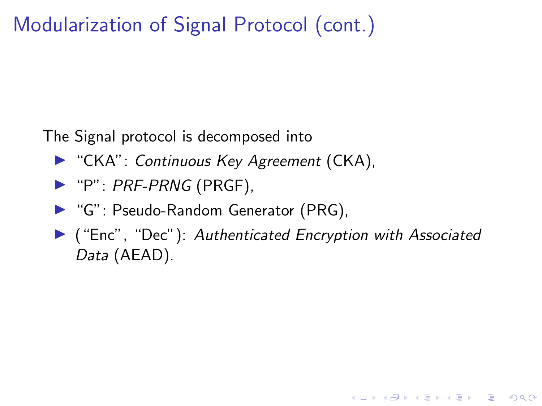## Modularization of Signal Protocol (cont.)

The Signal protocol is decomposed into

- ▶ "CKA": Continuous Key Agreement (CKA),
- $\blacktriangleright$  "P": PRF-PRNG (PRGF),
- ▶ "G": Pseudo-Random Generator (PRG),
- $\blacktriangleright$  ("Enc", "Dec"): Authenticated Encryption with Associated Data (AEAD).

K ロ ▶ K 個 ▶ K 할 ▶ K 할 ▶ 이 할 → 이익(연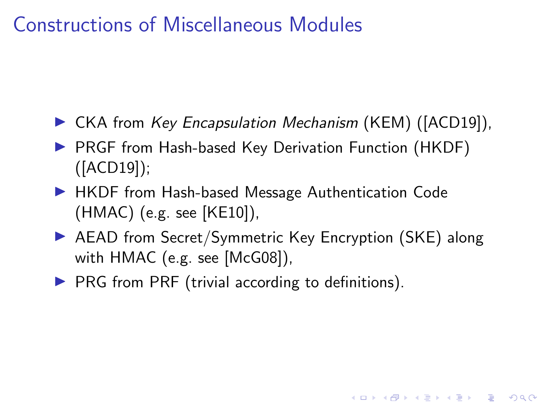## <span id="page-7-0"></span>Constructions of Miscellaneous Modules

- ▶ CKA from Key Encapsulation Mechanism (KEM) ([ACD19]),
- ▶ PRGF from Hash-based Key Derivation Function (HKDF) ([ACD19]);
- ▶ HKDF from Hash-based Message Authentication Code (HMAC) (e.g. see [KE10]),
- ▶ AEAD from Secret/Symmetric Key Encryption (SKE) along with HMAC (e.g. see [McG08]),

 $\triangleright$  PRG from PRF (trivial according to definitions).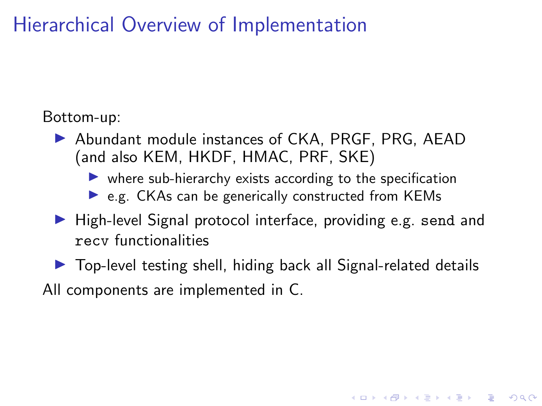<span id="page-8-0"></span>Hierarchical Overview of Implementation

Bottom-up:

▶ Abundant module instances of CKA, PRGF, PRG, AEAD (and also KEM, HKDF, HMAC, PRF, SKE)

 $\triangleright$  where sub-hierarchy exists according to the specification

- $\triangleright$  e.g. CKAs can be generically constructed from KEMs
- $\blacktriangleright$  High-level Signal protocol interface, providing e.g. send and recv functionalities
- $\triangleright$  Top-level testing shell, hiding back all Signal-related details

**KORKAR KERKER ORA** 

All components are implemented in C.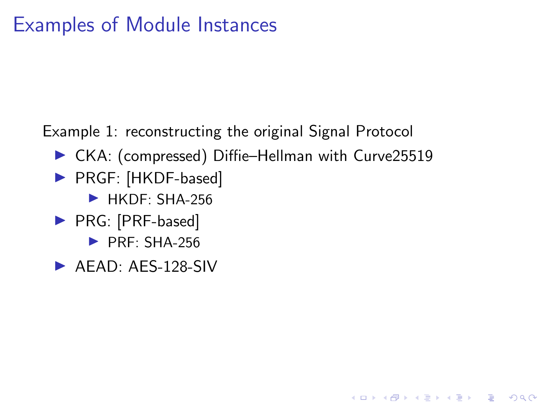## <span id="page-9-0"></span>Examples of Module Instances

Example 1: reconstructing the original Signal Protocol

▶ CKA: (compressed) Diffie–Hellman with Curve25519

**KORKARYKERKER POLO** 

- ▶ PRGF: [HKDF-based]
	- $\blacktriangleright$  HKDF: SHA-256
- ▶ PRG: [PRF-based]
	- $\blacktriangleright$  PRF: SHA-256
- $\blacktriangleright$  AFAD: AFS-128-SIV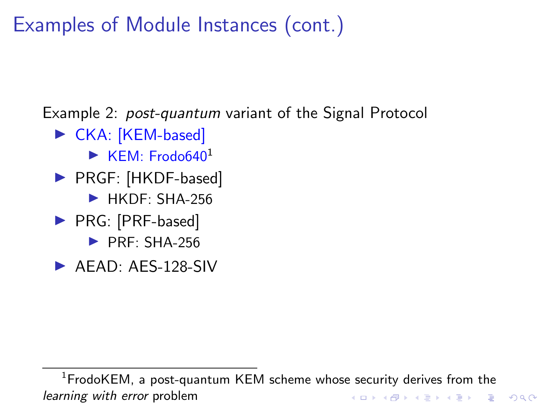Examples of Module Instances (cont.)

Example 2: *post-quantum* variant of the Signal Protocol

- $\triangleright$  CKA: [KEM-based]
	- $\blacktriangleright$  KFM: Frodo640<sup>1</sup>
- ▶ PRGF: [HKDF-based]
	- $\blacktriangleright$  HKDF: SHA-256
- ▶ PRG: [PRF-based]
	- $\blacktriangleright$  PRF: SHA-256
- $\blacktriangleright$  AEAD: AES-128-SIV

 $1$ FrodoKEM, a post-quantum KEM scheme whose security derives from the learning with error problemK ロ ▶ K 個 ▶ K 할 ▶ K 할 ▶ 이 할 → 9 Q Q →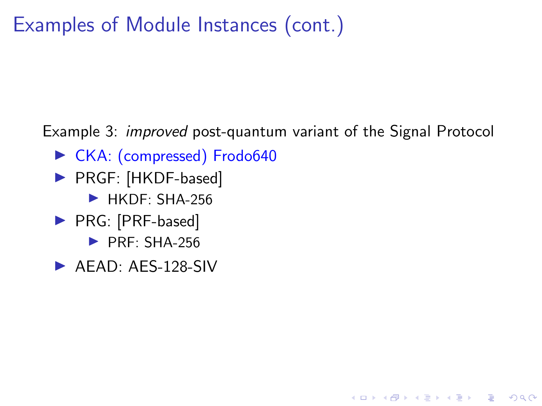Examples of Module Instances (cont.)

Example 3: *improved* post-quantum variant of the Signal Protocol

K ロ ▶ K 個 ▶ K 할 ▶ K 할 ▶ 이 할 → 이익(연

- ▶ CKA: (compressed) Frodo640
- ▶ PRGF: [HKDF-based]
	- $\blacktriangleright$  HKDF: SHA-256
- ▶ PRG: [PRF-based]
	- $\blacktriangleright$  PRF: SHA-256
- $\blacktriangleright$  AFAD: AFS-128-SIV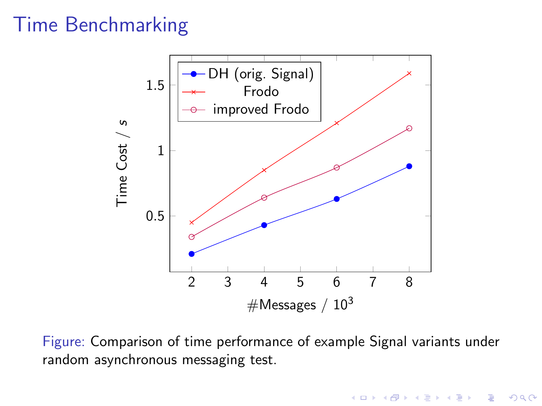## <span id="page-12-0"></span>Time Benchmarking



Figure: Comparison of time performance of example Signal variants under random asynchronous messaging test.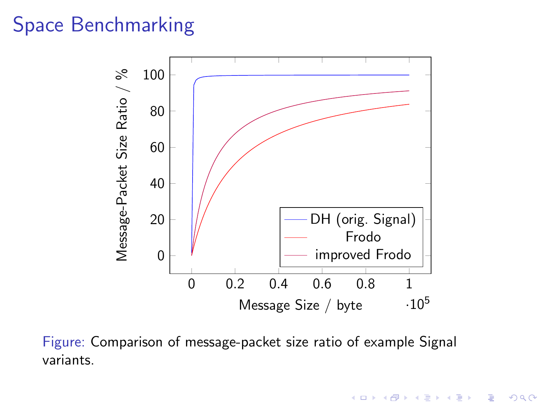## <span id="page-13-0"></span>Space Benchmarking



Figure: Comparison of message-packet size ratio of example Signal variants.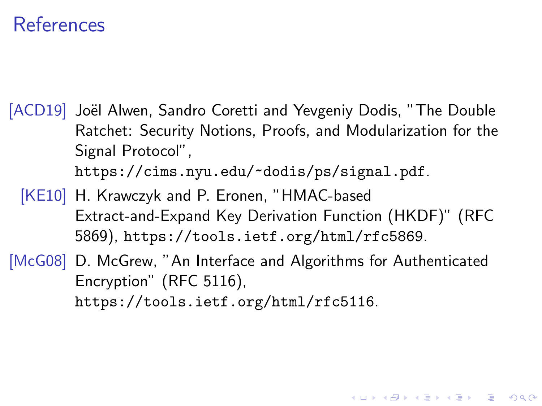## <span id="page-14-0"></span>References

- [ACD19] Joël Alwen, Sandro Coretti and Yevgeniy Dodis, "The Double Ratchet: Security Notions, Proofs, and Modularization for the Signal Protocol", <https://cims.nyu.edu/~dodis/ps/signal.pdf>.
	- [KE10] H. Krawczyk and P. Eronen, "HMAC-based Extract-and-Expand Key Derivation Function (HKDF)" (RFC 5869), <https://tools.ietf.org/html/rfc5869>.

[McG08] D. McGrew, "An Interface and Algorithms for Authenticated Encryption" (RFC 5116), <https://tools.ietf.org/html/rfc5116>.